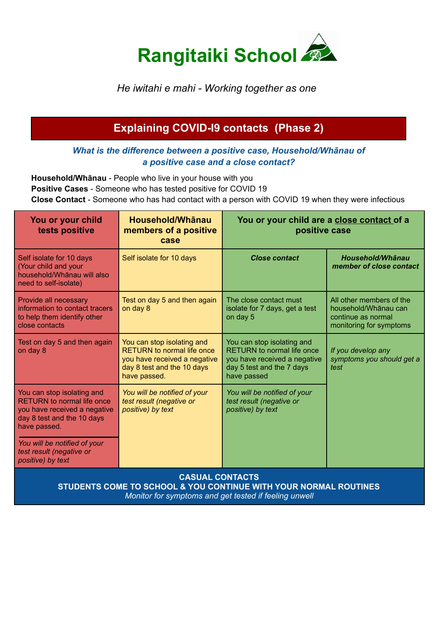

# *He iwitahi e mahi - Working together as one*

# **Explaining COVID-I9 contacts (Phase 2)**

#### *What is the difference between a positive case, Household/Whānau of a positive case and a close contact?*

**Household/Whānau** - People who live in your house with you **Positive Cases** - Someone who has tested positive for COVID 19 **Close Contact** - Someone who has had contact with a person with COVID 19 when they were infectious

| You or your child<br>tests positive                                                                                                           | Household/Whānau<br>members of a positive<br>case                                                                                             | You or your child are a close contact of a<br>positive case                                                                                 |                                                                                                   |
|-----------------------------------------------------------------------------------------------------------------------------------------------|-----------------------------------------------------------------------------------------------------------------------------------------------|---------------------------------------------------------------------------------------------------------------------------------------------|---------------------------------------------------------------------------------------------------|
| Self isolate for 10 days<br>(Your child and your<br>household/Whānau will also<br>need to self-isolate)                                       | Self isolate for 10 days                                                                                                                      | <b>Close contact</b>                                                                                                                        | <b>Household/Whānau</b><br>member of close contact                                                |
| Provide all necessary<br>information to contact tracers<br>to help them identify other<br>close contacts                                      | Test on day 5 and then again<br>on day 8                                                                                                      | The close contact must<br>isolate for 7 days, get a test<br>on day 5                                                                        | All other members of the<br>household/Whānau can<br>continue as normal<br>monitoring for symptoms |
| Test on day 5 and then again<br>on day 8                                                                                                      | You can stop isolating and<br><b>RETURN</b> to normal life once<br>you have received a negative<br>day 8 test and the 10 days<br>have passed. | You can stop isolating and<br><b>RETURN</b> to normal life once<br>you have received a negative<br>day 5 test and the 7 days<br>have passed | If you develop any<br>symptoms you should get a<br>test                                           |
| You can stop isolating and<br><b>RETURN</b> to normal life once<br>you have received a negative<br>day 8 test and the 10 days<br>have passed. | You will be notified of your<br>test result (negative or<br>positive) by text                                                                 | You will be notified of your<br>test result (negative or<br>positive) by text                                                               |                                                                                                   |
| You will be notified of your<br>test result (negative or<br>positive) by text                                                                 |                                                                                                                                               |                                                                                                                                             |                                                                                                   |
| CARIIAI CONTACTR                                                                                                                              |                                                                                                                                               |                                                                                                                                             |                                                                                                   |

**CASUAL CONTACTS STUDENTS COME TO SCHOOL & YOU CONTINUE WITH YOUR NORMAL ROUTINES**

*Monitor for symptoms and get tested if feeling unwell*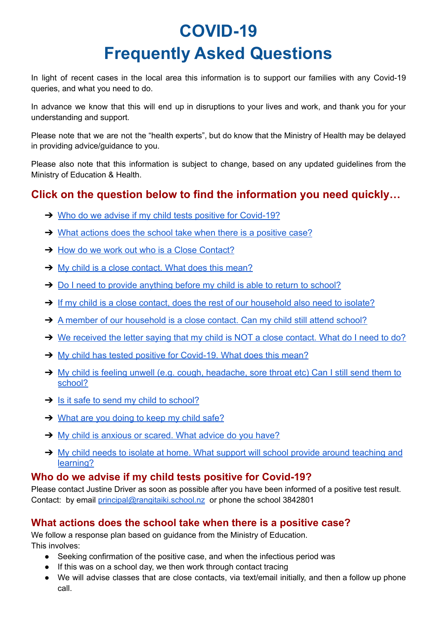# **COVID-19 Frequently Asked Questions**

In light of recent cases in the local area this information is to support our families with any Covid-19 queries, and what you need to do.

In advance we know that this will end up in disruptions to your lives and work, and thank you for your understanding and support.

Please note that we are not the "health experts", but do know that the Ministry of Health may be delayed in providing advice/guidance to you.

Please also note that this information is subject to change, based on any updated guidelines from the Ministry of Education & Health.

# **Click on the question below to find the information you need quickly…**

- ➔ [Who do we advise if my child tests positive for Covid-19?](#page-1-0)
- → [What actions does the school take when there is a positive case?](#page-1-1)
- **→ [How do we work out who is a Close Contact?](#page-2-0)**
- **→** [My child is a close contact. What does this mean?](#page-2-1)
- → [Do I need to provide anything before my child is able to return to school?](#page-2-2)
- ➔ [If my child is a close contact, does the rest of our household also need to isolate?](#page-2-3)
- → [A member of our household is a close contact. Can my child still attend school?](#page-2-4)
- ➔ [We received the letter saying that my child is NOT a close contact. What do I need to do?](#page-2-5)
- → [My child has tested positive for Covid-19. What does this mean?](#page-2-6)
- → [My child is feeling unwell \(e.g. cough, headache, sore throat etc\) Can I still send them to](#page-3-0) [school?](#page-3-0)
- $\rightarrow$  [Is it safe to send my child to school?](#page-3-1)
- **→ [What are you doing to keep my child safe?](#page-3-2)**
- **→** [My child is anxious or scared. What advice do you have?](#page-3-3)
- → [My child needs to isolate at home. What support will school provide around teaching and](#page-3-4) [learning?](#page-3-4)

# <span id="page-1-0"></span>**Who do we advise if my child tests positive for Covid-19?**

Please contact Justine Driver as soon as possible after you have been informed of a positive test result. Contact: by email [principal@rangitaiki.school.nz](mailto:principal@rangitaiki.school.nz) or phone the school 3842801

# <span id="page-1-1"></span>**What actions does the school take when there is a positive case?**

We follow a response plan based on guidance from the Ministry of Education. This involves:

- Seeking confirmation of the positive case, and when the infectious period was
- If this was on a school day, we then work through contact tracing
- We will advise classes that are close contacts, via text/email initially, and then a follow up phone call.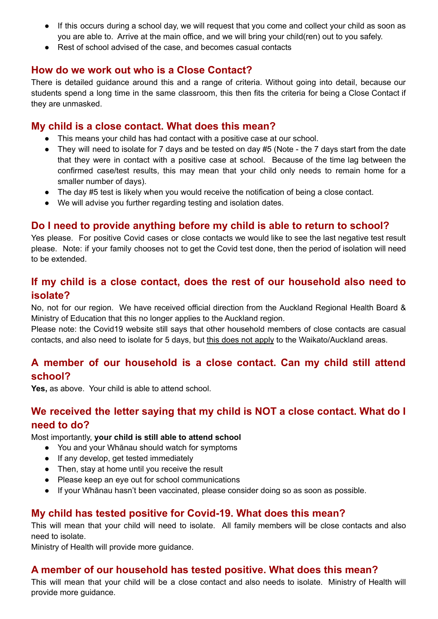- If this occurs during a school day, we will request that you come and collect your child as soon as you are able to. Arrive at the main office, and we will bring your child(ren) out to you safely.
- Rest of school advised of the case, and becomes casual contacts

# <span id="page-2-0"></span>**How do we work out who is a Close Contact?**

There is detailed guidance around this and a range of criteria. Without going into detail, because our students spend a long time in the same classroom, this then fits the criteria for being a Close Contact if they are unmasked.

#### <span id="page-2-1"></span>**My child is a close contact. What does this mean?**

- This means your child has had contact with a positive case at our school.
- They will need to isolate for 7 days and be tested on day #5 (Note the 7 days start from the date that they were in contact with a positive case at school. Because of the time lag between the confirmed case/test results, this may mean that your child only needs to remain home for a smaller number of days).
- The day #5 test is likely when you would receive the notification of being a close contact.
- We will advise you further regarding testing and isolation dates.

# <span id="page-2-2"></span>**Do I need to provide anything before my child is able to return to school?**

Yes please. For positive Covid cases or close contacts we would like to see the last negative test result please. Note: if your family chooses not to get the Covid test done, then the period of isolation will need to be extended.

# <span id="page-2-3"></span>**If my child is a close contact, does the rest of our household also need to isolate?**

No, not for our region. We have received official direction from the Auckland Regional Health Board & Ministry of Education that this no longer applies to the Auckland region.

Please note: the Covid19 website still says that other household members of close contacts are casual contacts, and also need to isolate for 5 days, but this does not apply to the Waikato/Auckland areas.

# <span id="page-2-4"></span>**A member of our household is a close contact. Can my child still attend school?**

**Yes,** as above. Your child is able to attend school.

# <span id="page-2-5"></span>**We received the letter saying that my child is NOT a close contact. What do I need to do?**

Most importantly, **your child is still able to attend school**

- You and your Whānau should watch for symptoms
- If any develop, get tested immediately
- Then, stay at home until you receive the result
- Please keep an eye out for school communications
- If your Whānau hasn't been vaccinated, please consider doing so as soon as possible.

# <span id="page-2-6"></span>**My child has tested positive for Covid-19. What does this mean?**

This will mean that your child will need to isolate. All family members will be close contacts and also need to isolate.

Ministry of Health will provide more guidance.

#### **A member of our household has tested positive. What does this mean?**

This will mean that your child will be a close contact and also needs to isolate. Ministry of Health will provide more guidance.